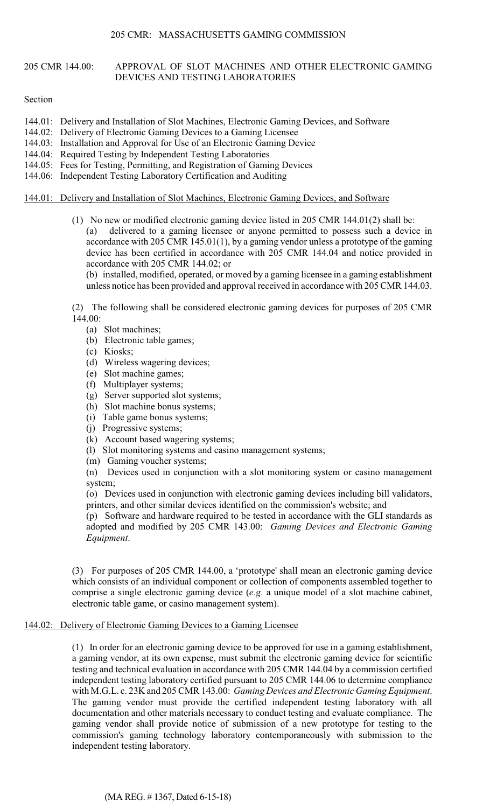### 205 CMR 144.00: APPROVAL OF SLOT MACHINES AND OTHER ELECTRONIC GAMING DEVICES AND TESTING LABORATORIES

Section

- 144.01: Delivery and Installation of Slot Machines, Electronic Gaming Devices, and Software
- 144.02: Delivery of Electronic Gaming Devices to a Gaming Licensee
- 144.03: Installation and Approval for Use of an Electronic Gaming Device
- 144.04: Required Testing by Independent Testing Laboratories
- 144.05: Fees for Testing, Permitting, and Registration of Gaming Devices
- 144.06: Independent Testing Laboratory Certification and Auditing

#### 144.01: Delivery and Installation of Slot Machines, Electronic Gaming Devices, and Software

 (a) delivered to a gaming licensee or anyone permitted to possess such a device in (1) No new or modified electronic gaming device listed in 205 CMR 144.01(2) shall be: accordance with 205 CMR 145.01(1), by a gaming vendor unless a prototype of the gaming device has been certified in accordance with 205 CMR 144.04 and notice provided in accordance with 205 CMR 144.02; or

 (b) installed, modified, operated, or moved by a gaming licensee in a gaming establishment unless notice has been provided and approval received in accordance with 205 CMR 144.03.

(2) The following shall be considered electronic gaming devices for purposes of 205 CMR 144.00:

- (a) Slot machines;
- (b) Electronic table games;
- (c) Kiosks;
- (d) Wireless wagering devices;
- (e) Slot machine games;
- (f) Multiplayer systems;
- (g) Server supported slot systems;
- (h) Slot machine bonus systems;
- (i) Table game bonus systems;
- (j) Progressive systems;
- (k) Account based wagering systems;
- (l) Slot monitoring systems and casino management systems;
- (m) Gaming voucher systems;

(n) Devices used in conjunction with a slot monitoring system or casino management system;

(o) Devices used in conjunction with electronic gaming devices including bill validators, printers, and other similar devices identified on the commission's website; and

 (p) Software and hardware required to be tested in accordance with the GLI standards as adopted and modified by 205 CMR 143.00: *Gaming Devices and Electronic Gaming Equipment*.

(3) For purposes of 205 CMR 144.00, a 'prototype' shall mean an electronic gaming device which consists of an individual component or collection of components assembled together to comprise a single electronic gaming device (*e.g*. a unique model of a slot machine cabinet, electronic table game, or casino management system).

## 144.02: Delivery of Electronic Gaming Devices to a Gaming Licensee

 a gaming vendor, at its own expense, must submit the electronic gaming device for scientific (1) In order for an electronic gaming device to be approved for use in a gaming establishment, testing and technical evaluation in accordance with 205 CMR 144.04 by a commission certified independent testing laboratory certified pursuant to 205 CMR 144.06 to determine compliance with M.G.L. c. 23K and 205 CMR 143.00: *Gaming Devices and Electronic Gaming Equipment*. The gaming vendor must provide the certified independent testing laboratory with all documentation and other materials necessary to conduct testing and evaluate compliance. The gaming vendor shall provide notice of submission of a new prototype for testing to the commission's gaming technology laboratory contemporaneously with submission to the independent testing laboratory.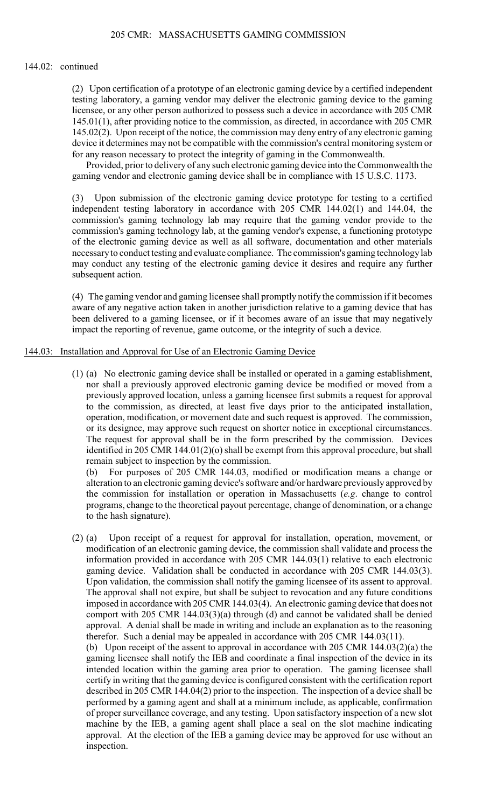#### 144.02: continued

 (2) Upon certification of a prototype of an electronic gaming device by a certified independent 145.01(1), after providing notice to the commission, as directed, in accordance with 205 CMR testing laboratory, a gaming vendor may deliver the electronic gaming device to the gaming licensee, or any other person authorized to possess such a device in accordance with 205 CMR 145.02(2). Upon receipt of the notice, the commission may deny entry of any electronic gaming device it determines may not be compatible with the commission's central monitoring system or for any reason necessary to protect the integrity of gaming in the Commonwealth.

Provided, prior to delivery of any such electronic gaming device into the Commonwealth the gaming vendor and electronic gaming device shall be in compliance with 15 U.S.C. 1173.

(3) Upon submission of the electronic gaming device prototype for testing to a certified independent testing laboratory in accordance with 205 CMR 144.02(1) and 144.04, the commission's gaming technology lab may require that the gaming vendor provide to the commission's gaming technology lab, at the gaming vendor's expense, a functioning prototype of the electronic gaming device as well as all software, documentation and other materials necessaryto conduct testing and evaluate compliance. The commission's gaming technology lab may conduct any testing of the electronic gaming device it desires and require any further subsequent action.

 (4) The gaming vendor and gaming licensee shall promptly notify the commission if it becomes aware of any negative action taken in another jurisdiction relative to a gaming device that has been delivered to a gaming licensee, or if it becomes aware of an issue that may negatively impact the reporting of revenue, game outcome, or the integrity of such a device.

### 144.03: Installation and Approval for Use of an Electronic Gaming Device

inspection.

 previously approved location, unless a gaming licensee first submits a request for approval identified in 205 CMR 144.01(2)(o) shall be exempt from this approval procedure, but shall (1) (a) No electronic gaming device shall be installed or operated in a gaming establishment, nor shall a previously approved electronic gaming device be modified or moved from a to the commission, as directed, at least five days prior to the anticipated installation, operation, modification, or movement date and such request is approved. The commission, or its designee, may approve such request on shorter notice in exceptional circumstances. The request for approval shall be in the form prescribed by the commission. Devices remain subject to inspection by the commission.

(b) For purposes of 205 CMR 144.03, modified or modification means a change or alteration to an electronic gaming device's software and/or hardware previously approved by the commission for installation or operation in Massachusetts (*e.g*. change to control programs, change to the theoretical payout percentage, change of denomination, or a change to the hash signature).

 Upon validation, the commission shall notify the gaming licensee of its assent to approval. certify in writing that the gaming device is configured consistent with the certification report described in 205 CMR 144.04(2) prior to the inspection. The inspection of a device shall be (2) (a) Upon receipt of a request for approval for installation, operation, movement, or modification of an electronic gaming device, the commission shall validate and process the information provided in accordance with 205 CMR 144.03(1) relative to each electronic gaming device. Validation shall be conducted in accordance with 205 CMR 144.03(3). The approval shall not expire, but shall be subject to revocation and any future conditions imposed in accordance with 205 CMR 144.03(4). An electronic gaming device that does not comport with 205 CMR 144.03(3)(a) through (d) and cannot be validated shall be denied approval. A denial shall be made in writing and include an explanation as to the reasoning therefor. Such a denial may be appealed in accordance with 205 CMR 144.03(11). (b) Upon receipt of the assent to approval in accordance with 205 CMR 144.03(2)(a) the gaming licensee shall notify the IEB and coordinate a final inspection of the device in its intended location within the gaming area prior to operation. The gaming licensee shall performed by a gaming agent and shall at a minimum include, as applicable, confirmation of proper surveillance coverage, and any testing. Upon satisfactory inspection of a new slot machine by the IEB, a gaming agent shall place a seal on the slot machine indicating approval. At the election of the IEB a gaming device may be approved for use without an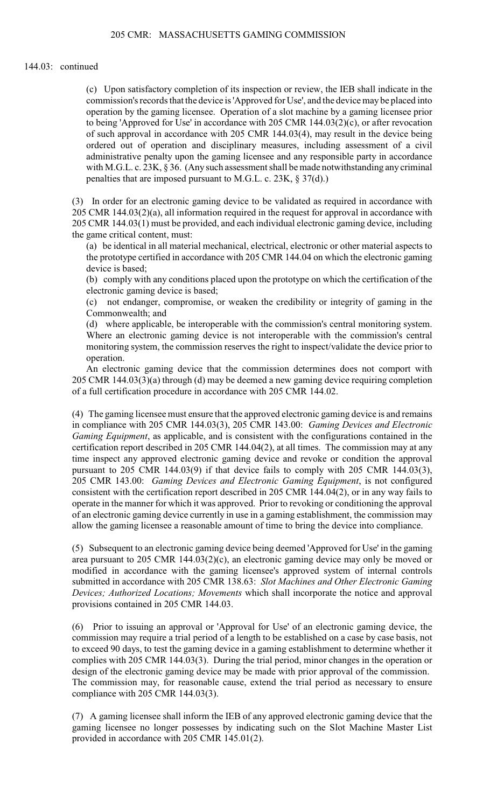#### 144.03: continued

 commission's records that the device is 'Approved for Use', and the device may be placed into (c) Upon satisfactory completion of its inspection or review, the IEB shall indicate in the operation by the gaming licensee. Operation of a slot machine by a gaming licensee prior to being 'Approved for Use' in accordance with 205 CMR 144.03(2)(c), or after revocation of such approval in accordance with 205 CMR 144.03(4), may result in the device being ordered out of operation and disciplinary measures, including assessment of a civil administrative penalty upon the gaming licensee and any responsible party in accordance with M.G.L. c. 23K, § 36. (Any such assessment shall be made notwithstanding any criminal penalties that are imposed pursuant to M.G.L. c. 23K, § 37(d).)

(3) In order for an electronic gaming device to be validated as required in accordance with 205 CMR 144.03(2)(a), all information required in the request for approval in accordance with 205 CMR 144.03(1) must be provided, and each individual electronic gaming device, including the game critical content, must:

 (a) be identical in all material mechanical, electrical, electronic or other material aspects to the prototype certified in accordance with 205 CMR 144.04 on which the electronic gaming device is based;

(b) comply with any conditions placed upon the prototype on which the certification of the electronic gaming device is based;

(c) not endanger, compromise, or weaken the credibility or integrity of gaming in the Commonwealth; and

 (d) where applicable, be interoperable with the commission's central monitoring system. monitoring system, the commission reserves the right to inspect/validate the device prior to Where an electronic gaming device is not interoperable with the commission's central operation.

An electronic gaming device that the commission determines does not comport with 205 CMR 144.03(3)(a) through (d) may be deemed a new gaming device requiring completion of a full certification procedure in accordance with 205 CMR 144.02.

 consistent with the certification report described in 205 CMR 144.04(2), or in any way fails to (4) The gaming licensee must ensure that the approved electronic gaming device is and remains in compliance with 205 CMR 144.03(3), 205 CMR 143.00: *Gaming Devices and Electronic Gaming Equipment*, as applicable, and is consistent with the configurations contained in the certification report described in 205 CMR 144.04(2), at all times. The commission may at any time inspect any approved electronic gaming device and revoke or condition the approval pursuant to 205 CMR 144.03(9) if that device fails to comply with 205 CMR 144.03(3), 205 CMR 143.00: *Gaming Devices and Electronic Gaming Equipment*, is not configured operate in the manner for which it was approved. Prior to revoking or conditioning the approval of an electronic gaming device currently in use in a gaming establishment, the commission may allow the gaming licensee a reasonable amount of time to bring the device into compliance.

(5) Subsequent to an electronic gaming device being deemed 'Approved for Use' in the gaming area pursuant to 205 CMR 144.03(2)(c), an electronic gaming device may only be moved or modified in accordance with the gaming licensee's approved system of internal controls submitted in accordance with 205 CMR 138.63: *Slot Machines and Other Electronic Gaming Devices; Authorized Locations; Movements* which shall incorporate the notice and approval provisions contained in 205 CMR 144.03.

 (6) Prior to issuing an approval or 'Approval for Use' of an electronic gaming device, the commission may require a trial period of a length to be established on a case by case basis, not to exceed 90 days, to test the gaming device in a gaming establishment to determine whether it complies with 205 CMR 144.03(3). During the trial period, minor changes in the operation or design of the electronic gaming device may be made with prior approval of the commission. The commission may, for reasonable cause, extend the trial period as necessary to ensure compliance with 205 CMR 144.03(3).

 (7) A gaming licensee shall inform the IEB of any approved electronic gaming device that the gaming licensee no longer possesses by indicating such on the Slot Machine Master List provided in accordance with 205 CMR 145.01(2).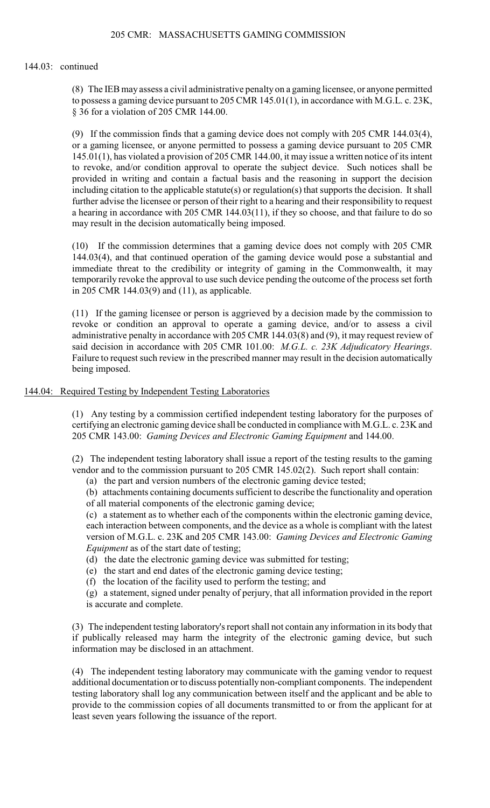# 144.03: continued

(8) The IEB may assess a civil administrative penalty on a gaming licensee, or anyone permitted to possess a gaming device pursuant to 205 CMR 145.01(1), in accordance with M.G.L. c. 23K, § 36 for a violation of 205 CMR 144.00.

 (9) If the commission finds that a gaming device does not comply with 205 CMR 144.03(4), including citation to the applicable statute(s) or regulation(s) that supports the decision. It shall further advise the licensee or person of their right to a hearing and their responsibility to request or a gaming licensee, or anyone permitted to possess a gaming device pursuant to 205 CMR 145.01(1), has violated a provision of 205 CMR 144.00, it may issue a written notice of its intent to revoke, and/or condition approval to operate the subject device. Such notices shall be provided in writing and contain a factual basis and the reasoning in support the decision a hearing in accordance with 205 CMR 144.03(11), if they so choose, and that failure to do so may result in the decision automatically being imposed.

 temporarily revoke the approval to use such device pending the outcome of the process set forth (10) If the commission determines that a gaming device does not comply with 205 CMR 144.03(4), and that continued operation of the gaming device would pose a substantial and immediate threat to the credibility or integrity of gaming in the Commonwealth, it may in 205 CMR 144.03(9) and (11), as applicable.

 (11) If the gaming licensee or person is aggrieved by a decision made by the commission to revoke or condition an approval to operate a gaming device, and/or to assess a civil administrative penalty in accordance with 205 CMR 144.03(8) and (9), it may request review of said decision in accordance with 205 CMR 101.00: *M.G.L. c. 23K Adjudicatory Hearings*. Failure to request such review in the prescribed manner may result in the decision automatically being imposed.

# 144.04: Required Testing by Independent Testing Laboratories

(1) Any testing by a commission certified independent testing laboratory for the purposes of certifying an electronic gaming device shall be conducted in compliance with M.G.L. c. 23K and 205 CMR 143.00: *Gaming Devices and Electronic Gaming Equipment* and 144.00.

(2) The independent testing laboratory shall issue a report of the testing results to the gaming vendor and to the commission pursuant to 205 CMR 145.02(2). Such report shall contain:

(a) the part and version numbers of the electronic gaming device tested;

(b) attachments containing documents sufficient to describe the functionality and operation of all material components of the electronic gaming device;

(c) a statement as to whether each of the components within the electronic gaming device, each interaction between components, and the device as a whole is compliant with the latest version of M.G.L. c. 23K and 205 CMR 143.00: *Gaming Devices and Electronic Gaming Equipment* as of the start date of testing;

- (d) the date the electronic gaming device was submitted for testing;
- (e) the start and end dates of the electronic gaming device testing;
- (f) the location of the facility used to perform the testing; and

(g) a statement, signed under penalty of perjury, that all information provided in the report is accurate and complete.

(3) The independent testing laboratory's report shall not contain any information in its body that if publically released may harm the integrity of the electronic gaming device, but such information may be disclosed in an attachment.

 testing laboratory shall log any communication between itself and the applicant and be able to (4) The independent testing laboratory may communicate with the gaming vendor to request additional documentation or to discuss potentially non-compliant components. The independent provide to the commission copies of all documents transmitted to or from the applicant for at least seven years following the issuance of the report.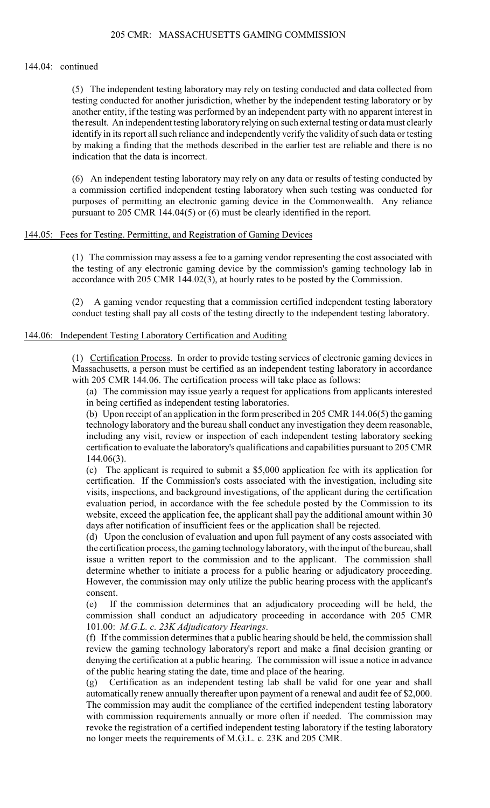### 144.04: continued

 another entity, if the testing was performed by an independent party with no apparent interest in the result. An independent testing laboratory relying on such external testing or data must clearly identify in its report all such reliance and independently verify the validity of such data or testing (5) The independent testing laboratory may rely on testing conducted and data collected from testing conducted for another jurisdiction, whether by the independent testing laboratory or by by making a finding that the methods described in the earlier test are reliable and there is no indication that the data is incorrect.

 a commission certified independent testing laboratory when such testing was conducted for purposes of permitting an electronic gaming device in the Commonwealth. Any reliance (6) An independent testing laboratory may rely on any data or results of testing conducted by pursuant to 205 CMR 144.04(5) or (6) must be clearly identified in the report.

### 144.05: Fees for Testing. Permitting, and Registration of Gaming Devices

(1) The commission may assess a fee to a gaming vendor representing the cost associated with the testing of any electronic gaming device by the commission's gaming technology lab in accordance with 205 CMR 144.02(3), at hourly rates to be posted by the Commission.

(2) A gaming vendor requesting that a commission certified independent testing laboratory conduct testing shall pay all costs of the testing directly to the independent testing laboratory.

# 144.06: Independent Testing Laboratory Certification and Auditing

 (1) Certification Process. In order to provide testing services of electronic gaming devices in Massachusetts, a person must be certified as an independent testing laboratory in accordance with 205 CMR 144.06. The certification process will take place as follows:

(a) The commission may issue yearly a request for applications from applicants interested in being certified as independent testing laboratories.

(b) Upon receipt of an application in the form prescribed in 205 CMR 144.06(5) the gaming technology laboratory and the bureau shall conduct any investigation they deem reasonable, including any visit, review or inspection of each independent testing laboratory seeking certification to evaluate the laboratory's qualifications and capabilities pursuant to 205 CMR 144.06(3).

 (c) The applicant is required to submit a \$5,000 application fee with its application for certification. If the Commission's costs associated with the investigation, including site visits, inspections, and background investigations, of the applicant during the certification evaluation period, in accordance with the fee schedule posted by the Commission to its website, exceed the application fee, the applicant shall pay the additional amount within 30 days after notification of insufficient fees or the application shall be rejected.

 (d) Upon the conclusion of evaluation and upon full payment of any costs associated with However, the commission may only utilize the public hearing process with the applicant's the certification process, the gaming technology laboratory, with the input of the bureau, shall issue a written report to the commission and to the applicant. The commission shall determine whether to initiate a process for a public hearing or adjudicatory proceeding. consent.

 commission shall conduct an adjudicatory proceeding in accordance with 205 CMR (e) If the commission determines that an adjudicatory proceeding will be held, the 101.00: *M.G.L. c. 23K Adjudicatory Hearings*.

 (f) If the commission determines that a public hearing should be held, the commission shall review the gaming technology laboratory's report and make a final decision granting or denying the certification at a public hearing. The commission will issue a notice in advance of the public hearing stating the date, time and place of the hearing.

(g) Certification as an independent testing lab shall be valid for one year and shall automatically renew annually thereafter upon payment of a renewal and audit fee of \$2,000. The commission may audit the compliance of the certified independent testing laboratory with commission requirements annually or more often if needed. The commission may revoke the registration of a certified independent testing laboratory if the testing laboratory no longer meets the requirements of M.G.L. c. 23K and 205 CMR.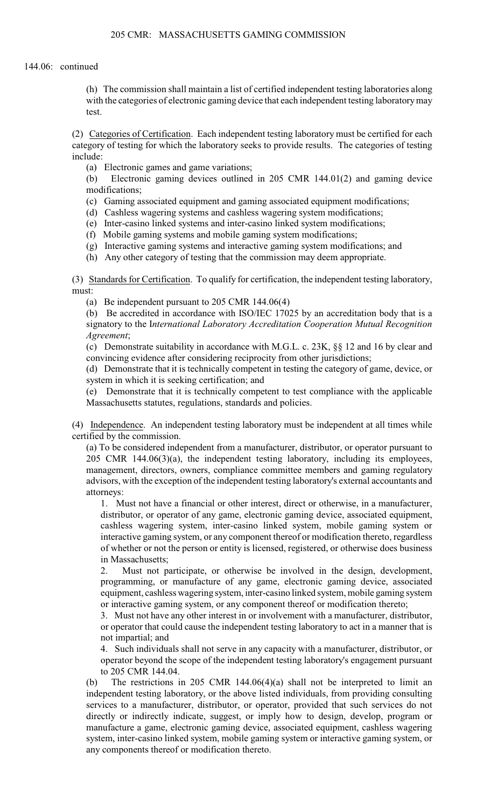### 205 CMR: MASSACHUSETTS GAMING COMMISSION

### 144.06: continued

 with the categories of electronic gaming device that each independent testing laboratory may (h) The commission shall maintain a list of certified independent testing laboratories along test.

(2) Categories of Certification. Each independent testing laboratory must be certified for each category of testing for which the laboratory seeks to provide results. The categories of testing include:

(a) Electronic games and game variations;

(b) Electronic gaming devices outlined in 205 CMR 144.01(2) and gaming device modifications;

(c) Gaming associated equipment and gaming associated equipment modifications;

(d) Cashless wagering systems and cashless wagering system modifications;

(e) Inter-casino linked systems and inter-casino linked system modifications;

(f) Mobile gaming systems and mobile gaming system modifications;

(g) Interactive gaming systems and interactive gaming system modifications; and

(h) Any other category of testing that the commission may deem appropriate.

 (3) Standards for Certification. To qualify for certification, the independent testing laboratory, must:

(a) Be independent pursuant to 205 CMR 144.06(4)

(b) Be accredited in accordance with ISO/IEC 17025 by an accreditation body that is a signatory to the I*nternational Laboratory Accreditation Cooperation Mutual Recognition Agreement*;

(c) Demonstrate suitability in accordance with M.G.L. c. 23K, §§ 12 and 16 by clear and convincing evidence after considering reciprocity from other jurisdictions;

(d) Demonstrate that it is technically competent in testing the category of game, device, or system in which it is seeking certification; and

 (e) Demonstrate that it is technically competent to test compliance with the applicable Massachusetts statutes, regulations, standards and policies.

 (4) Independence. An independent testing laboratory must be independent at all times while certified by the commission.

(a) To be considered independent from a manufacturer, distributor, or operator pursuant to 205 CMR 144.06(3)(a), the independent testing laboratory, including its employees, management, directors, owners, compliance committee members and gaming regulatory advisors, with the exception of the independent testing laboratory's external accountants and attorneys:

 interactive gaming system, or any component thereof or modification thereto, regardless of whether or not the person or entity is licensed, registered, or otherwise does business 1. Must not have a financial or other interest, direct or otherwise, in a manufacturer, distributor, or operator of any game, electronic gaming device, associated equipment, cashless wagering system, inter-casino linked system, mobile gaming system or in Massachusetts;

2. Must not participate, or otherwise be involved in the design, development, programming, or manufacture of any game, electronic gaming device, associated equipment, cashless wagering system, inter-casino linked system, mobile gaming system or interactive gaming system, or any component thereof or modification thereto;

3. Must not have any other interest in or involvement with a manufacturer, distributor, or operator that could cause the independent testing laboratory to act in a manner that is not impartial; and

 4. Such individuals shall not serve in any capacity with a manufacturer, distributor, or operator beyond the scope of the independent testing laboratory's engagement pursuant to 205 CMR 144.04.

 $(b)$ The restrictions in 205 CMR 144.06(4)(a) shall not be interpreted to limit an independent testing laboratory, or the above listed individuals, from providing consulting services to a manufacturer, distributor, or operator, provided that such services do not directly or indirectly indicate, suggest, or imply how to design, develop, program or manufacture a game, electronic gaming device, associated equipment, cashless wagering system, inter-casino linked system, mobile gaming system or interactive gaming system, or any components thereof or modification thereto.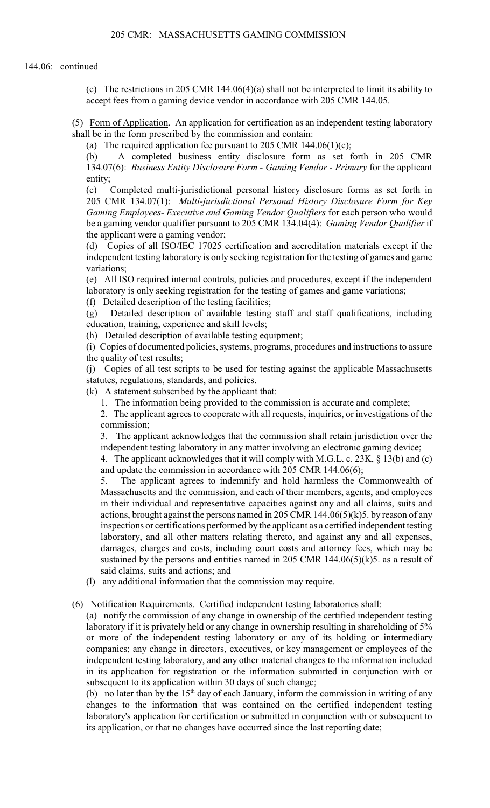(c) The restrictions in 205 CMR 144.06(4)(a) shall not be interpreted to limit its ability to accept fees from a gaming device vendor in accordance with 205 CMR 144.05.

(5) Form of Application. An application for certification as an independent testing laboratory shall be in the form prescribed by the commission and contain:

(a) The required application fee pursuant to 205 CMR 144.06(1)(c);

 134.07(6): *Business Entity Disclosure Form - Gaming Vendor - Primary* for the applicant (b) A completed business entity disclosure form as set forth in 205 CMR entity;

 205 CMR 134.07(1): *Multi-jurisdictional Personal History Disclosure Form for Key*  Gaming Employees- Executive and Gaming Vendor Qualifiers for each person who would (c) Completed multi-jurisdictional personal history disclosure forms as set forth in be a gaming vendor qualifier pursuant to 205 CMR 134.04(4): *Gaming Vendor Qualifier* if the applicant were a gaming vendor;

 independent testing laboratory is only seeking registration for the testing of games and game (d) Copies of all ISO/IEC 17025 certification and accreditation materials except if the variations;

(e) All ISO required internal controls, policies and procedures, except if the independent laboratory is only seeking registration for the testing of games and game variations;

(f) Detailed description of the testing facilities;

(g) Detailed description of available testing staff and staff qualifications, including education, training, experience and skill levels;

(h) Detailed description of available testing equipment;

(i) Copies of documented policies, systems, programs, procedures and instructions to assure the quality of test results;

(j) Copies of all test scripts to be used for testing against the applicable Massachusetts statutes, regulations, standards, and policies.

(k) A statement subscribed by the applicant that:

1. The information being provided to the commission is accurate and complete;

2. The applicant agrees to cooperate with all requests, inquiries, or investigations of the commission;

3. The applicant acknowledges that the commission shall retain jurisdiction over the independent testing laboratory in any matter involving an electronic gaming device;

4. The applicant acknowledges that it will comply with M.G.L. c. 23K, § 13(b) and (c) and update the commission in accordance with 205 CMR 144.06(6);

 5. The applicant agrees to indemnify and hold harmless the Commonwealth of Massachusetts and the commission, and each of their members, agents, and employees in their individual and representative capacities against any and all claims, suits and actions, brought against the persons named in 205 CMR 144.06(5)(k)5. by reason of any inspections or certifications performed by the applicant as a certified independent testing laboratory, and all other matters relating thereto, and against any and all expenses, damages, charges and costs, including court costs and attorney fees, which may be sustained by the persons and entities named in 205 CMR  $144.06(5)(k)$ 5. as a result of said claims, suits and actions; and

(l) any additional information that the commission may require.

(6) Notification Requirements. Certified independent testing laboratories shall:

(a) notify the commission of any change in ownership of the certified independent testing laboratory if it is privately held or any change in ownership resulting in shareholding of 5% or more of the independent testing laboratory or any of its holding or intermediary companies; any change in directors, executives, or key management or employees of the independent testing laboratory, and any other material changes to the information included in its application for registration or the information submitted in conjunction with or subsequent to its application within 30 days of such change;

(b) no later than by the  $15<sup>th</sup>$  day of each January, inform the commission in writing of any changes to the information that was contained on the certified independent testing laboratory's application for certification or submitted in conjunction with or subsequent to its application, or that no changes have occurred since the last reporting date;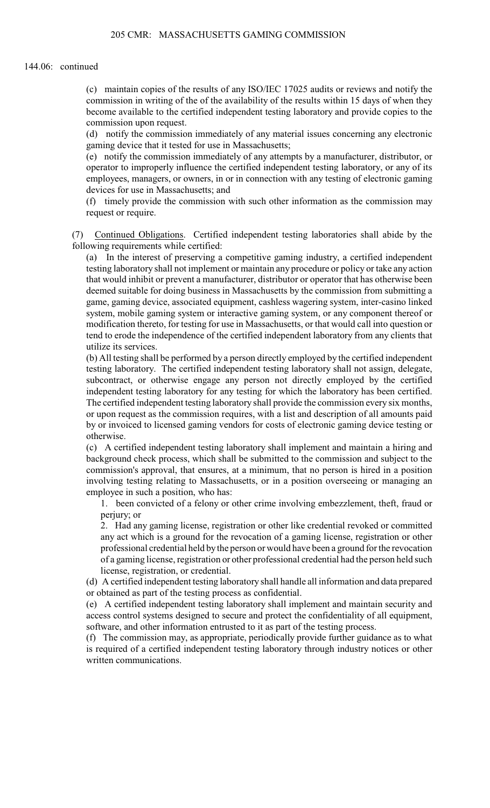#### 144.06: continued

 become available to the certified independent testing laboratory and provide copies to the (c) maintain copies of the results of any ISO/IEC 17025 audits or reviews and notify the commission in writing of the of the availability of the results within 15 days of when they commission upon request.

(d) notify the commission immediately of any material issues concerning any electronic gaming device that it tested for use in Massachusetts;

(e) notify the commission immediately of any attempts by a manufacturer, distributor, or operator to improperly influence the certified independent testing laboratory, or any of its employees, managers, or owners, in or in connection with any testing of electronic gaming devices for use in Massachusetts; and

 (f) timely provide the commission with such other information as the commission may request or require.

(7) Continued Obligations. Certified independent testing laboratories shall abide by the following requirements while certified:

(a) In the interest of preserving a competitive gaming industry, a certified independent testing laboratory shall not implement or maintain any procedure or policy or take any action that would inhibit or prevent a manufacturer, distributor or operator that has otherwise been deemed suitable for doing business in Massachusetts by the commission from submitting a game, gaming device, associated equipment, cashless wagering system, inter-casino linked system, mobile gaming system or interactive gaming system, or any component thereof or modification thereto, for testing for use in Massachusetts, or that would call into question or tend to erode the independence of the certified independent laboratory from any clients that utilize its services.

 or upon request as the commission requires, with a list and description of all amounts paid (b) All testing shall be performed by a person directly employed by the certified independent testing laboratory. The certified independent testing laboratory shall not assign, delegate, subcontract, or otherwise engage any person not directly employed by the certified independent testing laboratory for any testing for which the laboratory has been certified. The certified independent testing laboratory shall provide the commission every six months, by or invoiced to licensed gaming vendors for costs of electronic gaming device testing or otherwise.

(c) A certified independent testing laboratory shall implement and maintain a hiring and background check process, which shall be submitted to the commission and subject to the commission's approval, that ensures, at a minimum, that no person is hired in a position involving testing relating to Massachusetts, or in a position overseeing or managing an employee in such a position, who has:

1. been convicted of a felony or other crime involving embezzlement, theft, fraud or perjury; or

2. Had any gaming license, registration or other like credential revoked or committed any act which is a ground for the revocation of a gaming license, registration or other professional credential held bythe person or would have been a ground for the revocation of a gaming license, registration or other professional credential had the person held such license, registration, or credential.

(d) A certified independent testing laboratory shall handle all information and data prepared or obtained as part of the testing process as confidential.

 (e) A certified independent testing laboratory shall implement and maintain security and access control systems designed to secure and protect the confidentiality of all equipment, software, and other information entrusted to it as part of the testing process.

 (f) The commission may, as appropriate, periodically provide further guidance as to what is required of a certified independent testing laboratory through industry notices or other written communications.